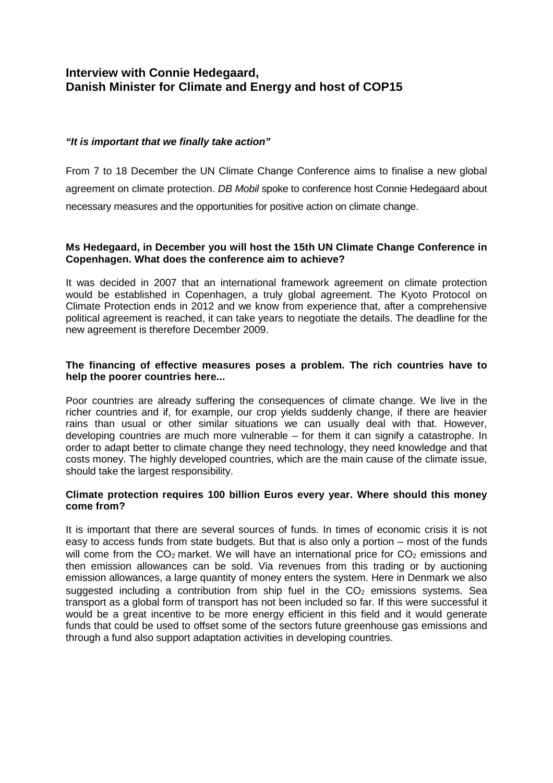# **Interview with Connie Hedegaard,** **Danish Minister for Climate and Energy and host of COP15**

## **"It is important that we finally take action"**

From 7 to 18 December the UN Climate Change Conference aims to finalise a new global agreement on climate protection. DB Mobil spoke to conference host Connie Hedegaard about necessary measures and the opportunities for positive action on climate change.

#### **Ms Hedegaard, in December you will host the 15th UN Climate Change Conference in Copenhagen. What does the conference aim to achieve?**

It was decided in 2007 that an international framework agreement on climate protection would be established in Copenhagen, a truly global agreement. The Kyoto Protocol on Climate Protection ends in 2012 and we know from experience that, after a comprehensive political agreement is reached, it can take years to negotiate the details. The deadline for the new agreement is therefore December 2009.

#### **The financing of effective measures poses a problem. The rich countries have to help the poorer countries here...**

Poor countries are already suffering the consequences of climate change. We live in the richer countries and if, for example, our crop yields suddenly change, if there are heavier rains than usual or other similar situations we can usually deal with that. However, developing countries are much more vulnerable – for them it can signify a catastrophe. In order to adapt better to climate change they need technology, they need knowledge and that costs money. The highly developed countries, which are the main cause of the climate issue, should take the largest responsibility.

#### **Climate protection requires 100 billion Euros every year. Where should this money come from?**

It is important that there are several sources of funds. In times of economic crisis it is not easy to access funds from state budgets. But that is also only a portion – most of the funds will come from the  $CO<sub>2</sub>$  market. We will have an international price for  $CO<sub>2</sub>$  emissions and then emission allowances can be sold. Via revenues from this trading or by auctioning emission allowances, a large quantity of money enters the system. Here in Denmark we also suggested including a contribution from ship fuel in the  $CO<sub>2</sub>$  emissions systems. Sea transport as a global form of transport has not been included so far. If this were successful it would be a great incentive to be more energy efficient in this field and it would generate funds that could be used to offset some of the sectors future greenhouse gas emissions and through a fund also support adaptation activities in developing countries.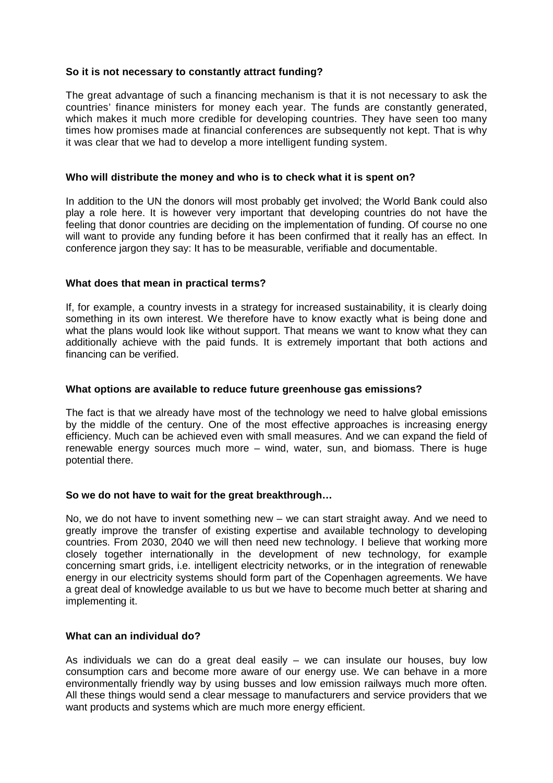#### **So it is not necessary to constantly attract funding?**

The great advantage of such a financing mechanism is that it is not necessary to ask the countries' finance ministers for money each year. The funds are constantly generated, which makes it much more credible for developing countries. They have seen too many times how promises made at financial conferences are subsequently not kept. That is why it was clear that we had to develop a more intelligent funding system.

#### **Who will distribute the money and who is to check what it is spent on?**

In addition to the UN the donors will most probably get involved; the World Bank could also play a role here. It is however very important that developing countries do not have the feeling that donor countries are deciding on the implementation of funding. Of course no one will want to provide any funding before it has been confirmed that it really has an effect. In conference jargon they say: It has to be measurable, verifiable and documentable.

#### **What does that mean in practical terms?**

If, for example, a country invests in a strategy for increased sustainability, it is clearly doing something in its own interest. We therefore have to know exactly what is being done and what the plans would look like without support. That means we want to know what they can additionally achieve with the paid funds. It is extremely important that both actions and financing can be verified.

#### **What options are available to reduce future greenhouse gas emissions?**

The fact is that we already have most of the technology we need to halve global emissions by the middle of the century. One of the most effective approaches is increasing energy efficiency. Much can be achieved even with small measures. And we can expand the field of renewable energy sources much more – wind, water, sun, and biomass. There is huge potential there.

## **So we do not have to wait for the great breakthrough…**

No, we do not have to invent something new – we can start straight away. And we need to greatly improve the transfer of existing expertise and available technology to developing countries. From 2030, 2040 we will then need new technology. I believe that working more closely together internationally in the development of new technology, for example concerning smart grids, i.e. intelligent electricity networks, or in the integration of renewable energy in our electricity systems should form part of the Copenhagen agreements. We have a great deal of knowledge available to us but we have to become much better at sharing and implementing it.

## **What can an individual do?**

As individuals we can do a great deal easily – we can insulate our houses, buy low consumption cars and become more aware of our energy use. We can behave in a more environmentally friendly way by using busses and low emission railways much more often. All these things would send a clear message to manufacturers and service providers that we want products and systems which are much more energy efficient.